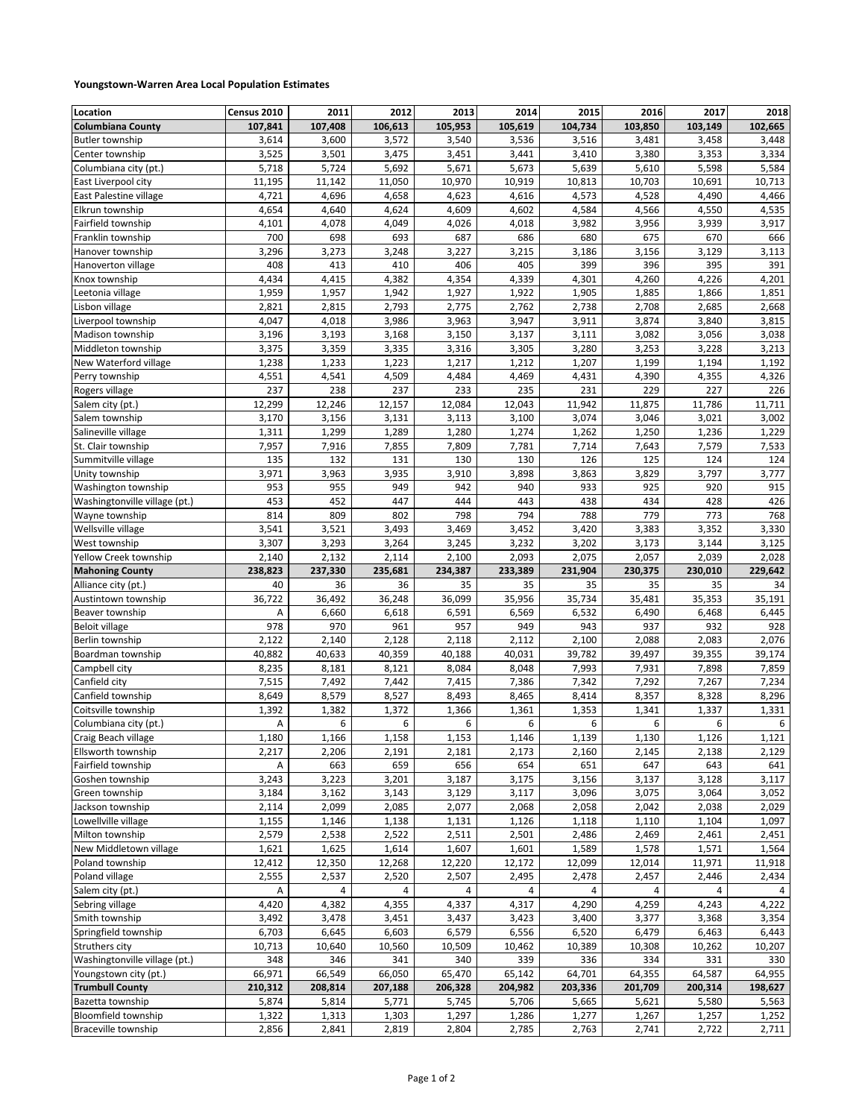## **Youngstown-Warren Area Local Population Estimates**

| Location                      | Census 2010   | 2011    | 2012               | 2013               | 2014          | 2015             | 2016           | 2017           | 2018          |
|-------------------------------|---------------|---------|--------------------|--------------------|---------------|------------------|----------------|----------------|---------------|
| <b>Columbiana County</b>      | 107,841       | 107,408 | 106,613            | 105,953            | 105,619       | 104,734          | 103,850        | 103,149        | 102,665       |
| <b>Butler township</b>        | 3,614         | 3,600   | 3,572              | 3,540              | 3,536         | 3,516            | 3,481          | 3,458          | 3,448         |
| Center township               | 3,525         | 3,501   | 3,475              | 3,451              | 3,441         | 3,410            | 3,380          | 3,353          | 3,334         |
| Columbiana city (pt.)         | 5,718         | 5,724   | 5,692              | 5,671              | 5,673         | 5,639            | 5,610          | 5,598          | 5,584         |
| East Liverpool city           | 11,195        | 11,142  | 11,050             | 10,970             | 10,919        | 10,813           | 10,703         | 10,691         | 10,713        |
| East Palestine village        | 4,721         | 4,696   | 4,658              | 4,623              | 4,616         | 4,573            | 4,528          | 4,490          | 4,466         |
| Elkrun township               | 4,654         | 4,640   | 4,624              | 4,609              | 4,602         | 4,584            | 4,566          | 4,550          | 4,535         |
| Fairfield township            | 4,101         | 4,078   | 4,049              | 4,026              | 4,018         | 3,982            | 3,956          | 3,939          | 3,917         |
| Franklin township             | 700           | 698     | 693                | 687                | 686           | 680              | 675            | 670            | 666           |
| Hanover township              | 3,296         | 3,273   | 3,248              | 3,227              | 3,215         | 3,186            | 3,156          | 3,129          | 3,113         |
| Hanoverton village            | 408           | 413     | 410                | 406                | 405           | 399              | 396            | 395            | 391           |
| Knox township                 | 4,434         | 4,415   | 4,382              | 4,354              | 4,339         | 4,301            | 4,260          | 4,226          | 4,201         |
| Leetonia village              | 1,959         | 1,957   | 1,942              | 1,927              | 1,922         | 1,905            | 1,885          | 1,866          | 1,851         |
| Lisbon village                | 2,821         | 2,815   | $\overline{2,793}$ | 2,775              | 2,762         | 2,738            | 2,708          | 2,685          | 2,668         |
| Liverpool township            | 4,047         | 4,018   | 3,986              | 3,963              | 3,947         | 3,911            | 3,874          | 3,840          | 3,815         |
| Madison township              | 3,196         | 3,193   | 3,168              | 3,150              | 3,137         | 3,111            | 3,082          | 3,056          | 3,038         |
| Middleton township            | 3,375         | 3,359   | 3,335              | 3,316              | 3,305         | 3,280            | 3,253          | 3,228          | 3,213         |
| New Waterford village         | 1,238         | 1,233   | 1,223              | 1,217              | 1,212         | 1,207            | 1,199          | 1,194          | 1,192         |
| Perry township                | 4,551         | 4,541   | 4,509              | 4,484              | 4,469         | 4,431            | 4,390          | 4,355          | 4,326         |
| Rogers village                | 237           | 238     | 237                | 233                | 235           | 231              | 229            | 227            | 226           |
| Salem city (pt.)              | 12,299        | 12,246  | 12,157             | 12,084             | 12,043        | 11,942           | 11,875         | 11,786         | 11,711        |
| Salem township                | 3,170         | 3,156   | 3,131              | 3,113              | 3,100         | 3,074            | 3,046          | 3,021          | 3,002         |
| Salineville village           | 1,311         | 1,299   | 1,289              | 1,280              | 1,274         | 1,262            | 1,250          | 1,236          | 1,229         |
| St. Clair township            | 7,957         | 7,916   | 7,855              | $\overline{7,809}$ | 7,781         | 7,714            | 7,643          | 7,579          | 7,533         |
| Summitville village           | 135           | 132     | 131                | 130                | 130           | 126              | 125            | 124            | 124           |
| Unity township                | 3,971         | 3,963   | 3,935              | 3,910              | 3,898         | 3,863            | 3,829          | 3,797          | 3,777         |
| Washington township           | 953           | 955     | 949                | 942                | 940           | 933              | 925            | 920            | 915           |
| Washingtonville village (pt.) | 453           | 452     | 447                | 444                | 443           | 438              | 434            | 428            | 426           |
| Wayne township                | 814           | 809     | 802                | 798                | 794           | 788              | 779            | 773            | 768           |
| Wellsville village            | 3,541         | 3,521   | 3,493              | 3,469              | 3,452         | 3,420            | 3,383          | 3,352          | 3,330         |
| West township                 | 3,307         | 3,293   | 3,264              | 3,245              | 3,232         | 3,202            | 3,173          | 3,144          | 3,125         |
| Yellow Creek township         | 2,140         | 2,132   | 2,114              | 2,100              | 2,093         | 2,075            | 2,057          | 2,039          | 2,028         |
| <b>Mahoning County</b>        | 238,823       | 237,330 | 235,681            | 234,387            | 233,389       | 231,904          | 230,375        | 230,010        | 229,642       |
| Alliance city (pt.)           | 40            | 36      | 36                 | 35                 | 35            | 35               | 35             | 35             | 34            |
| Austintown township           | 36,722        | 36,492  | 36,248             | 36,099             | 35,956        | 35,734           | 35,481         | 35,353         | 35,191        |
| Beaver township               | Α             | 6,660   | 6,618              | 6,591              | 6,569         | 6,532            | 6,490          | 6,468          | 6,445         |
| <b>Beloit village</b>         | 978           | 970     | 961                | 957                | 949           | 943              | 937            | 932            | 928           |
| Berlin township               | 2,122         | 2,140   | 2,128              | 2,118              | 2,112         | 2,100            | 2,088          | 2,083          | 2,076         |
| Boardman township             | 40,882        | 40,633  | 40,359             | 40,188             | 40,031        | 39,782           | 39,497         | 39,355         | 39,174        |
| Campbell city                 | 8,235         | 8,181   | 8,121              | 8,084              | 8,048         | 7,993            | 7,931          | 7,898          | 7,859         |
| Canfield city                 | 7,515         | 7,492   | 7,442              | 7,415              | 7,386         | 7,342            | 7,292          | 7,267          | 7,234         |
| Canfield township             | 8,649         | 8,579   | 8,527              | 8,493              | 8,465         | 8,414            | 8,357          | 8,328          | 8,296         |
| Coitsville township           | 1,392         | 1,382   | 1,372              | 1,366              | 1,361         | 1,353            | 1,341          | 1,337          | 1,331         |
| Columbiana city (pt.)         | Α             | 6       | 6                  | 6                  | 6             | 6                | 6              | 6              | 6             |
| Craig Beach village           | 1,180         | 1,166   | 1,158              | 1,153              | 1,146         | 1,139            | 1,130          | 1,126          | 1,121         |
| Ellsworth township            | 2,217         | 2,206   | 2,191              | 2,181              | 2,173         | 2,160            | 2,145          | 2,138          | 2,129         |
| Fairfield township            | А             | 663     | 659                | 656                | 654           | 651              | 647            | 643            | 641           |
| Goshen township               | 3,243         | 3,223   | 3,201              | 3,187              | 3,175         | 3,156            | 3,137          | 3,128          | 3,117         |
| Green township                | 3,184         | 3,162   | 3,143              | 3,129              | 3,117         | 3,096            | 3,075          | 3,064          | 3,052         |
| Jackson township              | 2,114         | 2,099   | 2,085              | 2,077              | 2,068         | 2,058            | 2,042          | 2,038          | 2,029         |
| Lowellville village           | 1,155         | 1,146   | 1,138              | 1,131              | 1,126         | 1,118            | 1,110          | 1,104          | 1,097         |
| Milton township               | 2,579         | 2,538   | 2,522              | 2,511              | 2,501         | 2,486            | 2,469          | 2,461          | 2,451         |
| New Middletown village        | 1,621         | 1,625   | 1,614              | 1,607              | 1,601         | 1,589            | 1,578          | 1,571          | 1,564         |
| Poland township               | 12,412        | 12,350  | 12,268             | 12,220             | 12,172        | 12,099           | 12,014         | 11,971         | 11,918        |
| Poland village                | 2,555         | 2,537   | 2,520              | 2,507              | 2,495         | 2,478            | 2,457          | 2,446          | 2,434         |
| Salem city (pt.)              | Α             | 4       | 4                  | 4                  | 4             | 4                | 4              | 4              |               |
| Sebring village               | 4,420         | 4,382   | 4,355              | 4,337              | 4,317         | 4,290            | 4,259          | 4,243          | 4,222         |
| Smith township                | 3,492         | 3,478   | 3,451              | 3,437              | 3,423         | 3,400            | 3,377          | 3,368          | 3,354         |
| Springfield township          | 6,703         | 6,645   | 6,603              | 6,579              | 6,556         | 6,520            | 6,479          | 6,463          | 6,443         |
| Struthers city                |               | 10,640  |                    |                    |               |                  | 10,308         |                |               |
| Washingtonville village (pt.) | 10,713<br>348 | 346     | 10,560             | 10,509             | 10,462        | 10,389           |                | 10,262         | 10,207        |
| Youngstown city (pt.)         | 66,971        | 66,549  | 341<br>66,050      | 340<br>65,470      | 339<br>65,142 | 336<br>64,701    | 334<br>64,355  | 331<br>64,587  | 330<br>64,955 |
| <b>Trumbull County</b>        | 210,312       | 208,814 | 207,188            |                    | 204,982       |                  | 201,709        |                | 198,627       |
| Bazetta township              | 5,874         | 5,814   | 5,771              | 206,328            | 5,706         | 203,336<br>5,665 | 5,621          | 200,314        |               |
| Bloomfield township           |               | 1,313   |                    | 5,745<br>1,297     |               | 1,277            |                | 5,580<br>1,257 | 5,563         |
| Braceville township           | 1,322         |         | 1,303<br>2,819     |                    | 1,286         |                  | 1,267<br>2,741 |                | 1,252         |
|                               | 2,856         | 2,841   |                    | 2,804              | 2,785         | 2,763            |                | 2,722          | 2,711         |